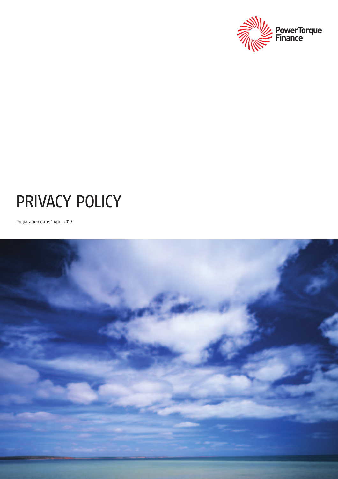

# PRIVACY POLICY

Preparation date: 1 April 2019

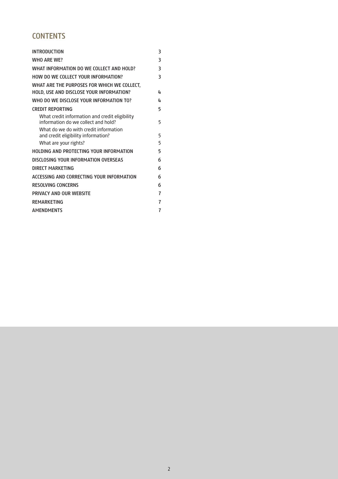# **CONTENTS**

| <b>INTRODUCTION</b>                                                                     | 3 |
|-----------------------------------------------------------------------------------------|---|
| <b>WHO ARE WE?</b>                                                                      | 3 |
| WHAT INFORMATION DO WE COLLECT AND HOLD?                                                | 3 |
| HOW DO WE COLLECT YOUR INFORMATION?                                                     | 3 |
| WHAT ARE THE PURPOSES FOR WHICH WE COLLECT,<br>HOLD. USE AND DISCLOSE YOUR INFORMATION? | 4 |
| WHO DO WE DISCLOSE YOUR INFORMATION TO?                                                 | 4 |
| <b>CREDIT REPORTING</b>                                                                 | 5 |
| What credit information and credit eligibility<br>information do we collect and hold?   | 5 |
| What do we do with credit information<br>and credit eligibility information?            | 5 |
| What are your rights?                                                                   | 5 |
| <b>HOLDING AND PROTECTING YOUR INFORMATION</b>                                          | 5 |
| DISCLOSING YOUR INFORMATION OVERSEAS                                                    | 6 |
| DIRECT MARKETING                                                                        | 6 |
| ACCESSING AND CORRECTING YOUR INFORMATION                                               | 6 |
| <b>RESOLVING CONCERNS</b>                                                               | 6 |
| PRIVACY AND OUR WEBSITE                                                                 | 7 |
| <b>REMARKETING</b>                                                                      | 7 |
| <b>AMENDMENTS</b>                                                                       | 7 |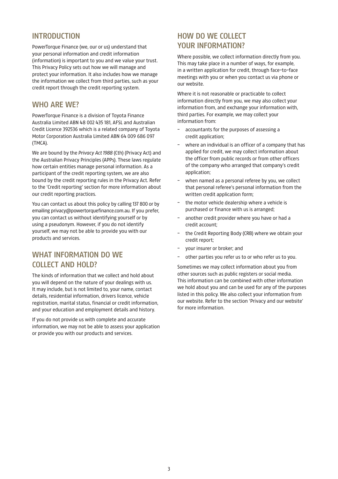## **INTRODUCTION**

PowerTorque Finance (we, our or us) understand that your personal information and credit information (information) is important to you and we value your trust. This Privacy Policy sets out how we will manage and protect your information. It also includes how we manage the information we collect from third parties, such as your credit report through the credit reporting system.

## **WHO ARE WE?**

PowerTorque Finance is a division of Toyota Finance Australia Limited ABN 48 002 435 181, AFSL and Australian Credit Licence 392536 which is a related company of Toyota Motor Corporation Australia Limited ABN 64 009 686 097 (TMCA).

We are bound by the *Privacy Act 1988* (Cth) (Privacy Act) and the Australian Privacy Principles (APPs). These laws regulate how certain entities manage personal information. As a participant of the credit reporting system, we are also bound by the credit reporting rules in the Privacy Act. Refer to the 'Credit reporting' section for more information about our credit reporting practices.

You can contact us about this policy by calling 137 800 or by emailing privacy@powertorquefinance.com.au. If you prefer, you can contact us without identifying yourself or by using a pseudonym. However, if you do not identify yourself, we may not be able to provide you with our products and services.

## **WHAT INFORMATION DO WE COLLECT AND HOLD?**

The kinds of information that we collect and hold about you will depend on the nature of your dealings with us. It may include, but is not limited to, your name, contact details, residential information, drivers licence, vehicle registration, marital status, financial or credit information, and your education and employment details and history.

If you do not provide us with complete and accurate information, we may not be able to assess your application or provide you with our products and services.

# **HOW DO WE COLLECT YOUR INFORMATION?**

Where possible, we collect information directly from you. This may take place in a number of ways, for example, in a written application for credit, through face-to-face meetings with you or when you contact us via phone or our website.

Where it is not reasonable or practicable to collect information directly from you, we may also collect your information from, and exchange your information with, third parties. For example, we may collect your information from:

- accountants for the purposes of assessing a credit application;
- where an individual is an officer of a company that has applied for credit, we may collect information about the officer from public records or from other officers of the company who arranged that company's credit application;
- when named as a personal referee by you, we collect that personal referee's personal information from the written credit application form;
- the motor vehicle dealership where a vehicle is purchased or finance with us is arranged;
- another credit provider where you have or had a credit account;
- the Credit Reporting Body (CRB) where we obtain your credit report;
- your insurer or broker; and
- other parties you refer us to or who refer us to you.

Sometimes we may collect information about you from other sources such as public registers or social media. This information can be combined with other information we hold about you and can be used for any of the purposes listed in this policy. We also collect your information from our website. Refer to the section 'Privacy and our website' for more information.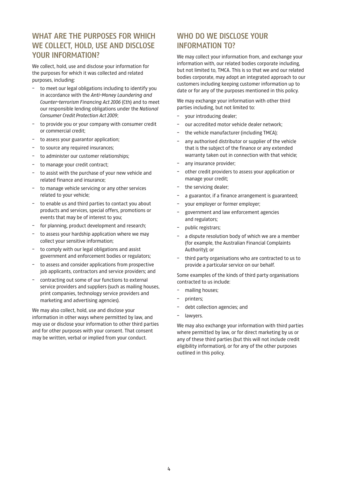# **WHAT ARE THE PURPOSES FOR WHICH WE COLLECT, HOLD, USE AND DISCLOSE YOUR INFORMATION?**

We collect, hold, use and disclose your information for the purposes for which it was collected and related purposes, including:

- to meet our legal obligations including to identify you in accordance with the *Anti-Money Laundering and Counter-terrorism Financing Act 2006* (Cth) and to meet our responsible lending obligations under the *National Consumer Credit Protection Act 2009*;
- to provide you or your company with consumer credit or commercial credit;
- to assess your guarantor application;
- to source any required insurances;
- to administer our customer relationships;
- to manage your credit contract;
- to assist with the purchase of your new vehicle and related finance and insurance;
- to manage vehicle servicing or any other services related to your vehicle;
- to enable us and third parties to contact you about products and services, special offers, promotions or events that may be of interest to you;
- for planning, product development and research;
- to assess your hardship application where we may collect your sensitive information;
- to comply with our legal obligations and assist government and enforcement bodies or regulators;
- to assess and consider applications from prospective job applicants, contractors and service providers; and
- contracting out some of our functions to external service providers and suppliers (such as mailing houses, print companies, technology service providers and marketing and advertising agencies).

We may also collect, hold, use and disclose your information in other ways where permitted by law, and may use or disclose your information to other third parties and for other purposes with your consent. That consent may be written, verbal or implied from your conduct.

# WHO DO WE DISCLOSE YOUR **INFORMATION TO?**

We may collect your information from, and exchange your information with, our related bodies corporate including, but not limited to, TMCA. This is so that we and our related bodies corporate, may adopt an integrated approach to our customers including keeping customer information up to date or for any of the purposes mentioned in this policy.

We may exchange your information with other third parties including, but not limited to:

- your introducing dealer;
- our accredited motor vehicle dealer network;
- the vehicle manufacturer (including TMCA);
- any authorised distributor or supplier of the vehicle that is the subject of the finance or any extended warranty taken out in connection with that vehicle;
- any insurance provider;
- other credit providers to assess your application or manage your credit;
- the servicing dealer;
- a guarantor, if a finance arrangement is guaranteed;
- your employer or former employer;
- government and law enforcement agencies and regulators;
- public registrars;
- a dispute resolution body of which we are a member (for example, the Australian Financial Complaints Authority); or
- third party organisations who are contracted to us to provide a particular service on our behalf.

Some examples of the kinds of third party organisations contracted to us include:

- mailing houses;
- printers;
- debt collection agencies; and
- lawyers.

We may also exchange your information with third parties where permitted by law, or for direct marketing by us or any of these third parties (but this will not include credit eligibility information), or for any of the other purposes outlined in this policy.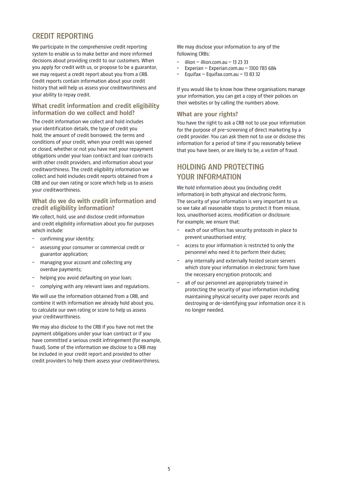## **CREDIT REPORTING**

We participate in the comprehensive credit reporting system to enable us to make better and more informed decisions about providing credit to our customers. When you apply for credit with us, or propose to be a guarantor, we may request a credit report about you from a CRB. Credit reports contain information about your credit history that will help us assess your creditworthiness and your ability to repay credit.

#### **What credit information and credit eligibility information do we collect and hold?**

The credit information we collect and hold includes your identification details, the type of credit you hold, the amount of credit borrowed, the terms and conditions of your credit, when your credit was opened or closed, whether or not you have met your repayment obligations under your loan contract and loan contracts with other credit providers, and information about your creditworthiness. The credit eligibility information we collect and hold includes credit reports obtained from a CRB and our own rating or score which help us to assess your creditworthiness.

#### **What do we do with credit information and credit eligibility information?**

We collect, hold, use and disclose credit information and credit eligibility information about you for purposes which include:

- confirming your identity;
- assessing your consumer or commercial credit or guarantor application;
- managing your account and collecting any overdue payments;
- helping you avoid defaulting on your loan;
- complying with any relevant laws and regulations.

We will use the information obtained from a CRB, and combine it with information we already hold about you, to calculate our own rating or score to help us assess your creditworthiness.

We may also disclose to the CRB if you have not met the payment obligations under your loan contract or if you have committed a serious credit infringement (for example, fraud). Some of the information we disclose to a CRB may be included in your credit report and provided to other credit providers to help them assess your creditworthiness.

We may disclose your information to any of the following CRBs:

- illion illion.com.au 13 23 33
- Experian Experian.com.au 1300 783 684
- Equifax Equifax.com.au 13 83 32

If you would like to know how these organisations manage your information, you can get a copy of their policies on their websites or by calling the numbers above.

#### **What are your rights?**

You have the right to ask a CRB not to use your information for the purpose of pre-screening of direct marketing by a credit provider. You can ask them not to use or disclose this information for a period of time if you reasonably believe that you have been, or are likely to be, a victim of fraud.

## **HOLDING AND PROTECTING YOUR INFORMATION**

We hold information about you (including credit information) in both physical and electronic forms. The security of your information is very important to us so we take all reasonable steps to protect it from misuse, loss, unauthorised access, modification or disclosure. For example, we ensure that:

- each of our offices has security protocols in place to prevent unauthorised entry;
- access to your information is restricted to only the personnel who need it to perform their duties;
- any internally and externally hosted secure servers which store your information in electronic form have the necessary encryption protocols; and
- all of our personnel are appropriately trained in protecting the security of your information including maintaining physical security over paper records and destroying or de-identifying your information once it is no longer needed.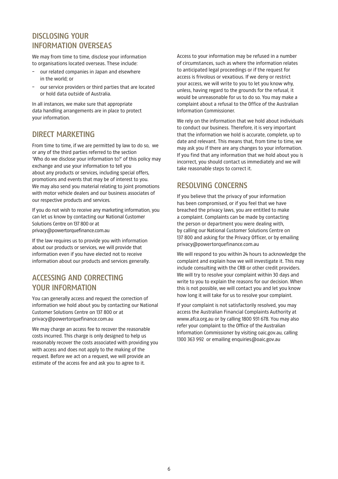# **DISCLOSING YOUR INFORMATION OVERSEAS**

We may from time to time, disclose your information to organisations located overseas. These include:

- our related companies in Japan and elsewhere in the world; or
- our service providers or third parties that are located or hold data outside of Australia.

In all instances, we make sure that appropriate data handling arrangements are in place to protect your information.

# **DIRECT MARKETING**

From time to time, if we are permitted by law to do so, we or any of the third parties referred to the section 'Who do we disclose your information to?' of this policy may exchange and use your information to tell you about any products or services, including special offers, promotions and events that may be of interest to you. We may also send you material relating to joint promotions with motor vehicle dealers and our business associates of our respective products and services.

If you do not wish to receive any marketing information, you can let us know by contacting our National Customer Solutions Centre on 137 800 or at privacy@powertorquefinance.com.au

If the law requires us to provide you with information about our products or services, we will provide that information even if you have elected not to receive information about our products and services generally.

# **ACCESSING AND CORRECTING YOUR INFORMATION**

You can generally access and request the correction of information we hold about you by contacting our National Customer Solutions Centre on 137 800 or at privacy@powertorquefinance.com.au

We may charge an access fee to recover the reasonable costs incurred. This charge is only designed to help us reasonably recover the costs associated with providing you with access and does not apply to the making of the request. Before we act on a request, we will provide an estimate of the access fee and ask you to agree to it.

Access to your information may be refused in a number of circumstances, such as where the information relates to anticipated legal proceedings or if the request for access is frivolous or vexatious. If we deny or restrict your access, we will write to you to let you know why, unless, having regard to the grounds for the refusal, it would be unreasonable for us to do so. You may make a complaint about a refusal to the Office of the Australian Information Commissioner.

We rely on the information that we hold about individuals to conduct our business. Therefore, it is very important that the information we hold is accurate, complete, up to date and relevant. This means that, from time to time, we may ask you if there are any changes to your information. If you find that any information that we hold about you is incorrect, you should contact us immediately and we will take reasonable steps to correct it.

# **RESOLVING CONCERNS**

If you believe that the privacy of your information has been compromised, or if you feel that we have breached the privacy laws, you are entitled to make a complaint. Complaints can be made by contacting the person or department you were dealing with, by calling our National Customer Solutions Centre on 137 800 and asking for the Privacy Officer, or by emailing privacy@powertorquefinance.com.au

We will respond to you within 24 hours to acknowledge the complaint and explain how we will investigate it. This may include consulting with the CRB or other credit providers. We will try to resolve your complaint within 30 days and write to you to explain the reasons for our decision. When this is not possible, we will contact you and let you know how long it will take for us to resolve your complaint.

If your complaint is not satisfactorily resolved, you may access the Australian Financial Complaints Authority at www.afca.org.au or by calling 1800 931 678. You may also refer your complaint to the Office of the Australian Information Commissioner by visiting oaic.gov.au, calling 1300 363 992 or emailing enquiries@oaic.gov.au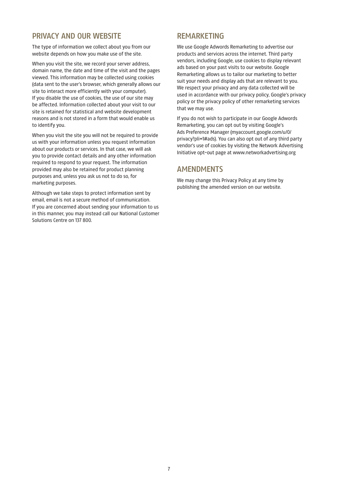## **PRIVACY AND OUR WEBSITE**

The type of information we collect about you from our website depends on how you make use of the site.

When you visit the site, we record your server address, domain name, the date and time of the visit and the pages viewed. This information may be collected using cookies (data sent to the user's browser, which generally allows our site to interact more efficiently with your computer). If you disable the use of cookies, the use of our site may be affected. Information collected about your visit to our site is retained for statistical and website development reasons and is not stored in a form that would enable us to identify you.

When you visit the site you will not be required to provide us with your information unless you request information about our products or services. In that case, we will ask you to provide contact details and any other information required to respond to your request. The information provided may also be retained for product planning purposes and, unless you ask us not to do so, for marketing purposes.

Although we take steps to protect information sent by email, email is not a secure method of communication. If you are concerned about sending your information to us in this manner, you may instead call our National Customer Solutions Centre on 137 800.

### **REMARKETING**

We use Google Adwords Remarketing to advertise our products and services across the internet. Third party vendors, including Google, use cookies to display relevant ads based on your past visits to our website. Google Remarketing allows us to tailor our marketing to better suit your needs and display ads that are relevant to you. We respect your privacy and any data collected will be used in accordance with our privacy policy, Google's privacy policy or the privacy policy of other remarketing services that we may use.

If you do not wish to participate in our Google Adwords Remarketing, you can opt out by visiting Google's Ads Preference Manager [\(myaccount.google.com/u/0/](myaccount.google.com/u/0/privacy?pli=1#ads) [privacy?pli=1#ads\).](myaccount.google.com/u/0/privacy?pli=1#ads) You can also opt out of any third party vendor's use of cookies by visiting the Network Advertising Initiative opt-out page at www.networkadvertising.org

## **AMENDMENTS**

We may change this Privacy Policy at any time by publishing the amended version on our website.